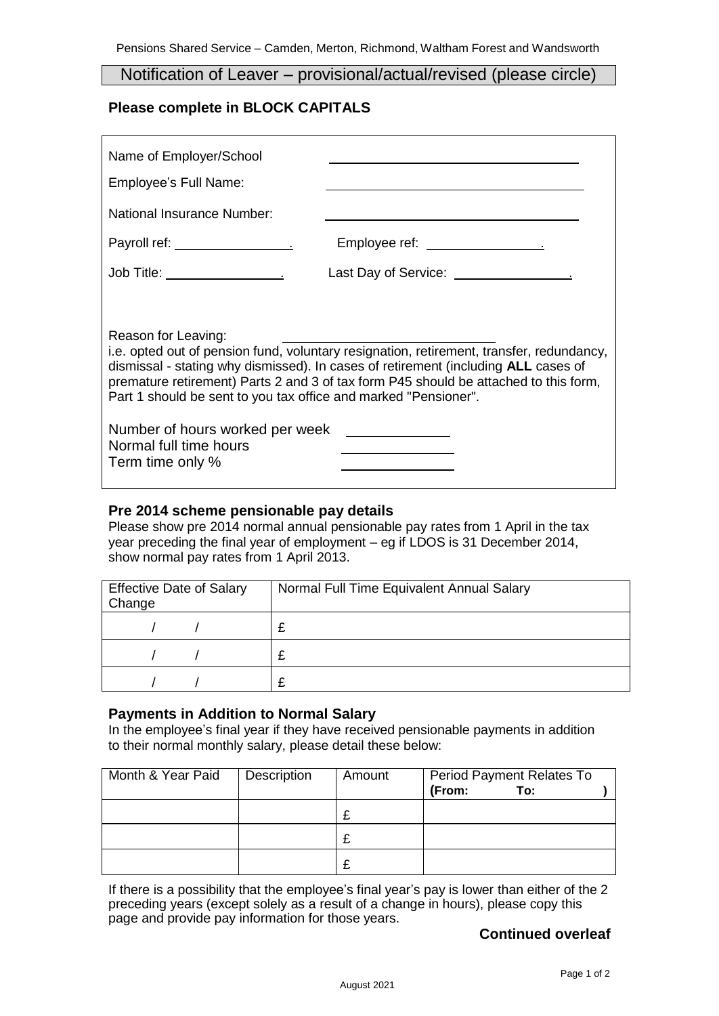Notification of Leaver – provisional/actual/revised (please circle)

## **Please complete in BLOCK CAPITALS**

| Name of Employer/School<br>Employee's Full Name:                                                                                                                        | the control of the control of the control of the control of the control of                                                                                                                                                                                             |
|-------------------------------------------------------------------------------------------------------------------------------------------------------------------------|------------------------------------------------------------------------------------------------------------------------------------------------------------------------------------------------------------------------------------------------------------------------|
| National Insurance Number:                                                                                                                                              |                                                                                                                                                                                                                                                                        |
|                                                                                                                                                                         | Employee ref: ____________________                                                                                                                                                                                                                                     |
|                                                                                                                                                                         |                                                                                                                                                                                                                                                                        |
| Reason for Leaving:<br>Part 1 should be sent to you tax office and marked "Pensioner".<br>Number of hours worked per week<br>Normal full time hours<br>Term time only % | i.e. opted out of pension fund, voluntary resignation, retirement, transfer, redundancy,<br>dismissal - stating why dismissed). In cases of retirement (including ALL cases of<br>premature retirement) Parts 2 and 3 of tax form P45 should be attached to this form, |

#### **Pre 2014 scheme pensionable pay details**

Please show pre 2014 normal annual pensionable pay rates from 1 April in the tax year preceding the final year of employment – eg if LDOS is 31 December 2014, show normal pay rates from 1 April 2013.

| <b>Effective Date of Salary</b><br>Change | Normal Full Time Equivalent Annual Salary |
|-------------------------------------------|-------------------------------------------|
|                                           |                                           |
|                                           |                                           |
|                                           |                                           |

### **Payments in Addition to Normal Salary**

In the employee's final year if they have received pensionable payments in addition to their normal monthly salary, please detail these below:

| Month & Year Paid | Description | Amount |        | <b>Period Payment Relates To</b> |  |
|-------------------|-------------|--------|--------|----------------------------------|--|
|                   |             |        | (From: | To:                              |  |
|                   |             |        |        |                                  |  |
|                   |             |        |        |                                  |  |
|                   |             |        |        |                                  |  |

If there is a possibility that the employee's final year's pay is lower than either of the 2 preceding years (except solely as a result of a change in hours), please copy this page and provide pay information for those years.

## **Continued overleaf**